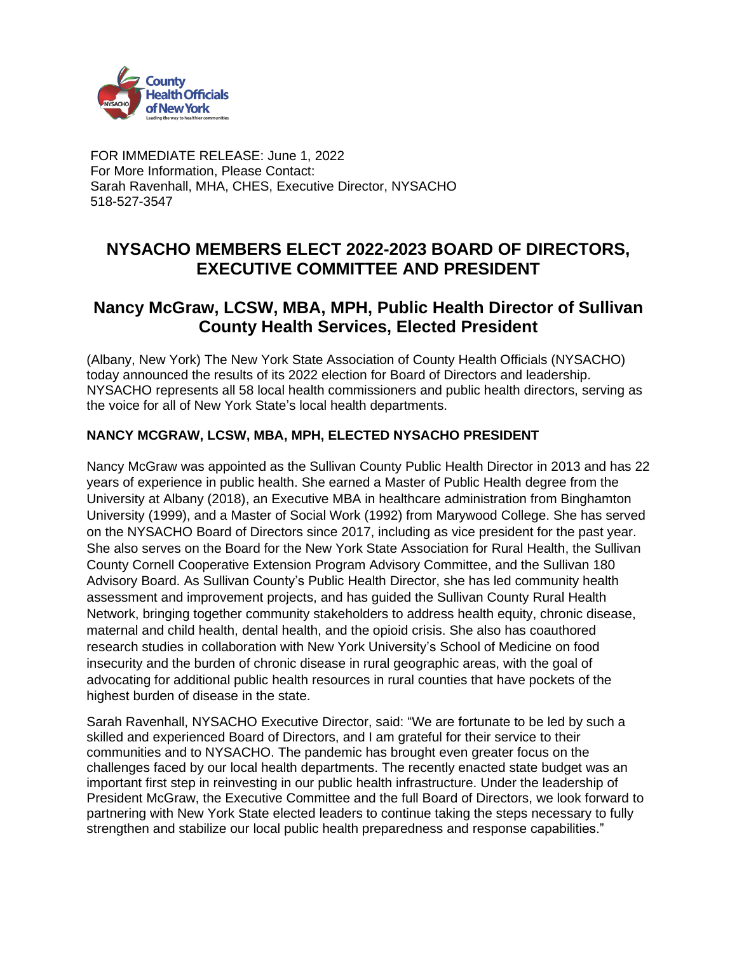

FOR IMMEDIATE RELEASE: June 1, 2022 For More Information, Please Contact: Sarah Ravenhall, MHA, CHES, Executive Director, NYSACHO 518-527-3547

## **NYSACHO MEMBERS ELECT 2022-2023 BOARD OF DIRECTORS, EXECUTIVE COMMITTEE AND PRESIDENT**

## **Nancy McGraw, LCSW, MBA, MPH, Public Health Director of Sullivan County Health Services, Elected President**

(Albany, New York) The New York State Association of County Health Officials (NYSACHO) today announced the results of its 2022 election for Board of Directors and leadership. NYSACHO represents all 58 local health commissioners and public health directors, serving as the voice for all of New York State's local health departments.

## **NANCY MCGRAW, LCSW, MBA, MPH, ELECTED NYSACHO PRESIDENT**

Nancy McGraw was appointed as the Sullivan County Public Health Director in 2013 and has 22 years of experience in public health. She earned a Master of Public Health degree from the University at Albany (2018), an Executive MBA in healthcare administration from Binghamton University (1999), and a Master of Social Work (1992) from Marywood College. She has served on the NYSACHO Board of Directors since 2017, including as vice president for the past year. She also serves on the Board for the New York State Association for Rural Health, the Sullivan County Cornell Cooperative Extension Program Advisory Committee, and the Sullivan 180 Advisory Board. As Sullivan County's Public Health Director, she has led community health assessment and improvement projects, and has guided the Sullivan County Rural Health Network, bringing together community stakeholders to address health equity, chronic disease, maternal and child health, dental health, and the opioid crisis. She also has coauthored research studies in collaboration with New York University's School of Medicine on food insecurity and the burden of chronic disease in rural geographic areas, with the goal of advocating for additional public health resources in rural counties that have pockets of the highest burden of disease in the state.

Sarah Ravenhall, NYSACHO Executive Director, said: "We are fortunate to be led by such a skilled and experienced Board of Directors, and I am grateful for their service to their communities and to NYSACHO. The pandemic has brought even greater focus on the challenges faced by our local health departments. The recently enacted state budget was an important first step in reinvesting in our public health infrastructure. Under the leadership of President McGraw, the Executive Committee and the full Board of Directors, we look forward to partnering with New York State elected leaders to continue taking the steps necessary to fully strengthen and stabilize our local public health preparedness and response capabilities."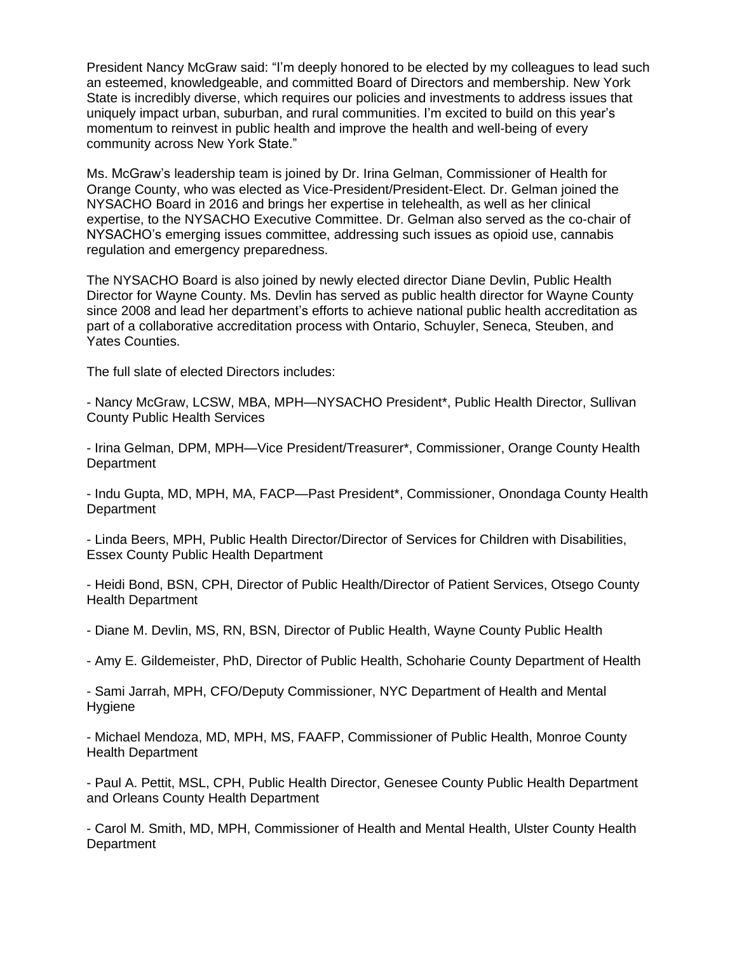President Nancy McGraw said: "I'm deeply honored to be elected by my colleagues to lead such an esteemed, knowledgeable, and committed Board of Directors and membership. New York State is incredibly diverse, which requires our policies and investments to address issues that uniquely impact urban, suburban, and rural communities. I'm excited to build on this year's momentum to reinvest in public health and improve the health and well-being of every community across New York State."

Ms. McGraw's leadership team is joined by Dr. Irina Gelman, Commissioner of Health for Orange County, who was elected as Vice-President/President-Elect. Dr. Gelman joined the NYSACHO Board in 2016 and brings her expertise in telehealth, as well as her clinical expertise, to the NYSACHO Executive Committee. Dr. Gelman also served as the co-chair of NYSACHO's emerging issues committee, addressing such issues as opioid use, cannabis regulation and emergency preparedness.

The NYSACHO Board is also joined by newly elected director Diane Devlin, Public Health Director for Wayne County. Ms. Devlin has served as public health director for Wayne County since 2008 and lead her department's efforts to achieve national public health accreditation as part of a collaborative accreditation process with Ontario, Schuyler, Seneca, Steuben, and Yates Counties.

The full slate of elected Directors includes:

- Nancy McGraw, LCSW, MBA, MPH—NYSACHO President\*, Public Health Director, Sullivan County Public Health Services

- Irina Gelman, DPM, MPH—Vice President/Treasurer\*, Commissioner, Orange County Health **Department** 

- Indu Gupta, MD, MPH, MA, FACP—Past President\*, Commissioner, Onondaga County Health **Department** 

- Linda Beers, MPH, Public Health Director/Director of Services for Children with Disabilities, Essex County Public Health Department

- Heidi Bond, BSN, CPH, Director of Public Health/Director of Patient Services, Otsego County Health Department

- Diane M. Devlin, MS, RN, BSN, Director of Public Health, Wayne County Public Health

- Amy E. Gildemeister, PhD, Director of Public Health, Schoharie County Department of Health

- Sami Jarrah, MPH, CFO/Deputy Commissioner, NYC Department of Health and Mental **Hygiene** 

- Michael Mendoza, MD, MPH, MS, FAAFP, Commissioner of Public Health, Monroe County Health Department

- Paul A. Pettit, MSL, CPH, Public Health Director, Genesee County Public Health Department and Orleans County Health Department

- Carol M. Smith, MD, MPH, Commissioner of Health and Mental Health, Ulster County Health **Department**